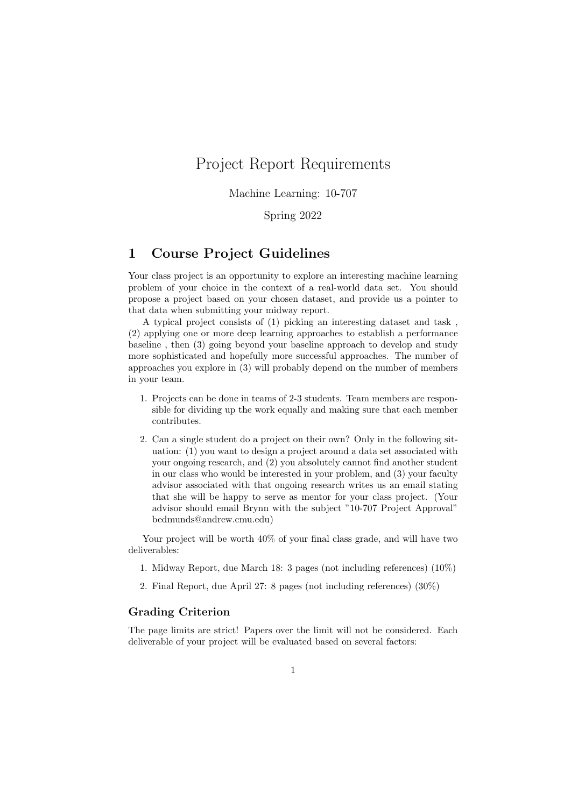# Project Report Requirements

Machine Learning: 10-707

Spring 2022

## 1 Course Project Guidelines

Your class project is an opportunity to explore an interesting machine learning problem of your choice in the context of a real-world data set. You should propose a project based on your chosen dataset, and provide us a pointer to that data when submitting your midway report.

A typical project consists of (1) picking an interesting dataset and task , (2) applying one or more deep learning approaches to establish a performance baseline , then (3) going beyond your baseline approach to develop and study more sophisticated and hopefully more successful approaches. The number of approaches you explore in (3) will probably depend on the number of members in your team.

- 1. Projects can be done in teams of 2-3 students. Team members are responsible for dividing up the work equally and making sure that each member contributes.
- 2. Can a single student do a project on their own? Only in the following situation: (1) you want to design a project around a data set associated with your ongoing research, and (2) you absolutely cannot find another student in our class who would be interested in your problem, and (3) your faculty advisor associated with that ongoing research writes us an email stating that she will be happy to serve as mentor for your class project. (Your advisor should email Brynn with the subject "10-707 Project Approval" bedmunds@andrew.cmu.edu)

Your project will be worth  $40\%$  of your final class grade, and will have two deliverables:

- 1. Midway Report, due March 18: 3 pages (not including references) (10%)
- 2. Final Report, due April 27: 8 pages (not including references) (30%)

## Grading Criterion

The page limits are strict! Papers over the limit will not be considered. Each deliverable of your project will be evaluated based on several factors: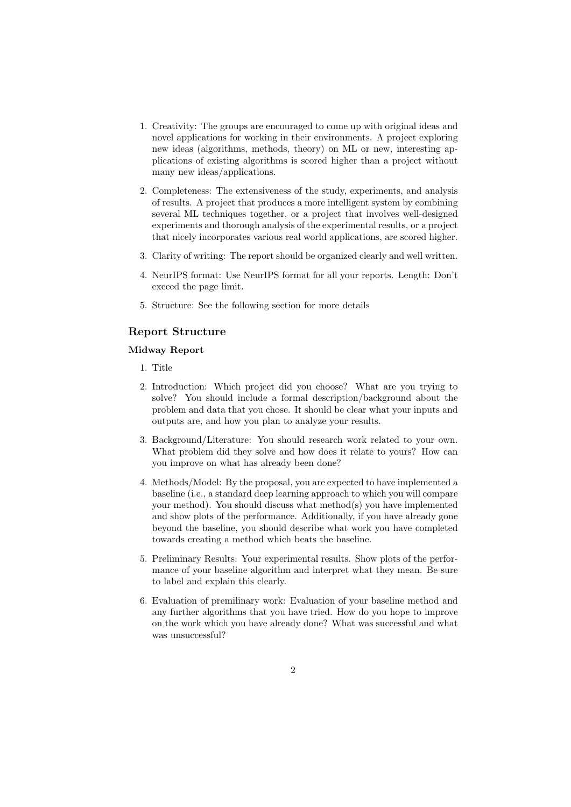- 1. Creativity: The groups are encouraged to come up with original ideas and novel applications for working in their environments. A project exploring new ideas (algorithms, methods, theory) on ML or new, interesting applications of existing algorithms is scored higher than a project without many new ideas/applications.
- 2. Completeness: The extensiveness of the study, experiments, and analysis of results. A project that produces a more intelligent system by combining several ML techniques together, or a project that involves well-designed experiments and thorough analysis of the experimental results, or a project that nicely incorporates various real world applications, are scored higher.
- 3. Clarity of writing: The report should be organized clearly and well written.
- 4. NeurIPS format: Use NeurIPS format for all your reports. Length: Don't exceed the page limit.
- 5. Structure: See the following section for more details

## Report Structure

#### Midway Report

- 1. Title
- 2. Introduction: Which project did you choose? What are you trying to solve? You should include a formal description/background about the problem and data that you chose. It should be clear what your inputs and outputs are, and how you plan to analyze your results.
- 3. Background/Literature: You should research work related to your own. What problem did they solve and how does it relate to yours? How can you improve on what has already been done?
- 4. Methods/Model: By the proposal, you are expected to have implemented a baseline (i.e., a standard deep learning approach to which you will compare your method). You should discuss what method(s) you have implemented and show plots of the performance. Additionally, if you have already gone beyond the baseline, you should describe what work you have completed towards creating a method which beats the baseline.
- 5. Preliminary Results: Your experimental results. Show plots of the performance of your baseline algorithm and interpret what they mean. Be sure to label and explain this clearly.
- 6. Evaluation of premilinary work: Evaluation of your baseline method and any further algorithms that you have tried. How do you hope to improve on the work which you have already done? What was successful and what was unsuccessful?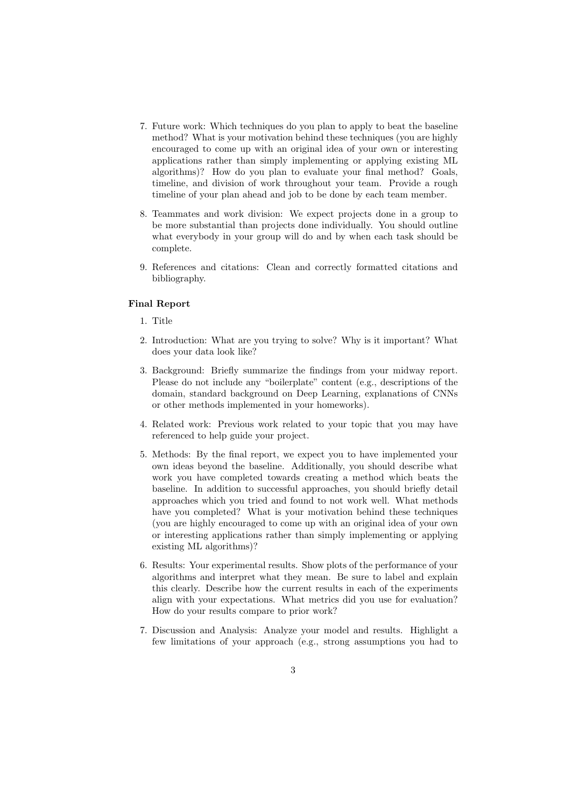- 7. Future work: Which techniques do you plan to apply to beat the baseline method? What is your motivation behind these techniques (you are highly encouraged to come up with an original idea of your own or interesting applications rather than simply implementing or applying existing ML algorithms)? How do you plan to evaluate your final method? Goals, timeline, and division of work throughout your team. Provide a rough timeline of your plan ahead and job to be done by each team member.
- 8. Teammates and work division: We expect projects done in a group to be more substantial than projects done individually. You should outline what everybody in your group will do and by when each task should be complete.
- 9. References and citations: Clean and correctly formatted citations and bibliography.

### Final Report

- 1. Title
- 2. Introduction: What are you trying to solve? Why is it important? What does your data look like?
- 3. Background: Briefly summarize the findings from your midway report. Please do not include any "boilerplate" content (e.g., descriptions of the domain, standard background on Deep Learning, explanations of CNNs or other methods implemented in your homeworks).
- 4. Related work: Previous work related to your topic that you may have referenced to help guide your project.
- 5. Methods: By the final report, we expect you to have implemented your own ideas beyond the baseline. Additionally, you should describe what work you have completed towards creating a method which beats the baseline. In addition to successful approaches, you should briefly detail approaches which you tried and found to not work well. What methods have you completed? What is your motivation behind these techniques (you are highly encouraged to come up with an original idea of your own or interesting applications rather than simply implementing or applying existing ML algorithms)?
- 6. Results: Your experimental results. Show plots of the performance of your algorithms and interpret what they mean. Be sure to label and explain this clearly. Describe how the current results in each of the experiments align with your expectations. What metrics did you use for evaluation? How do your results compare to prior work?
- 7. Discussion and Analysis: Analyze your model and results. Highlight a few limitations of your approach (e.g., strong assumptions you had to